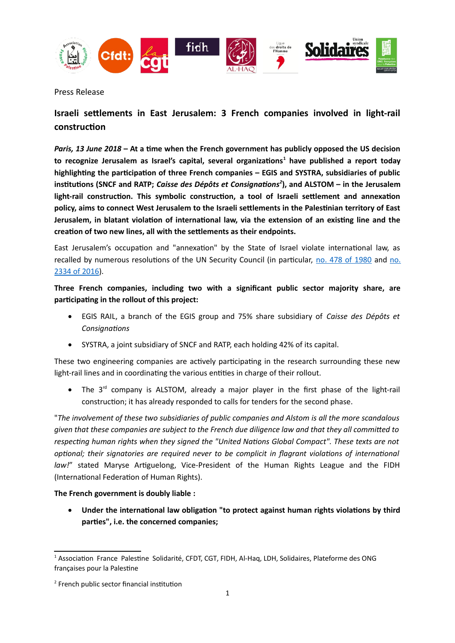

Press Release

## **Israeli setlements in East Jerusalem: 3 French companies involved in light-rail construction**

*Paris, 13 June 2018* **– At a time when the French government has publicly opposed the US decision to recognize Jerusalem as Israel's capital, several organizations[1](#page-0-0) have published a report today highlighting the participation of three French companies – EGIS and SYSTRA, subsidiaries of public** institutions (SNCF and RATP; *Caisse des Dépôts et Consignations<sup>[2](#page-0-1)</sup>*), and ALSTOM – in the Jerusalem light-rail construction. This symbolic construction, a tool of Israeli settlement and annexation policy, aims to connect West Jerusalem to the Israeli settlements in the Palestinian territory of East **Jerusalem, in blatant violation of international law, via the extension of an existing line and the** creation of two new lines, all with the settlements as their endpoints.

East Jerusalem's occupation and "annexation" by the State of Israel violate international law, as recalled by numerous resolutions of the UN Security Council (in particular, no. 478 of 1980 and no. [2334 of 2016\)](https://www.un.org/webcast/pdfs/SRES2334-2016.pdf).

**Three French companies, including two with a signifcant public sector majority share, are participating in the rollout of this project:**

- EGIS RAIL, a braoch of the EGIS group aod 75% share subsidiary of *Caisse des Dépôts et Consignatons*
- SYSTRA, a joint subsidiary of SNCF and RATP, each holding 42% of its capital.

These two engineering companies are actively participating in the research surrounding these new light-rail lines and in coordinating the various entities in charge of their rollout.

• The  $3^{rd}$  company is ALSTOM, already a major player in the first phase of the light-rail construction; it has already responded to calls for tenders for the second phase.

"*The involvement of these two subsidiaries of public companies and Alstom is all the more scandalous given that these companies are subject to the French due diligence law and that they all commited to respectng human rights when they signed the "United Natons Global Compact". These texts are not optional; their signatories are required never to be complicit in flagrant violations of international* law!" stated Maryse Artiguelong, Vice-President of the Human Rights League and the FIDH (International Federation of Human Rights).

**The French government is doubly liable :**

 **Under the international law obligation "to protect against human rights violations by third** parties", i.e. the concerned companies;

<span id="page-0-0"></span> $<sup>1</sup>$  Association France Palestine Solidarité, CFDT, CGT, FIDH, Al-Haq, LDH, Solidaires, Plateforme des ONG</sup> françaises pour la Palestine

<span id="page-0-1"></span> $2$  French public sector financial institution